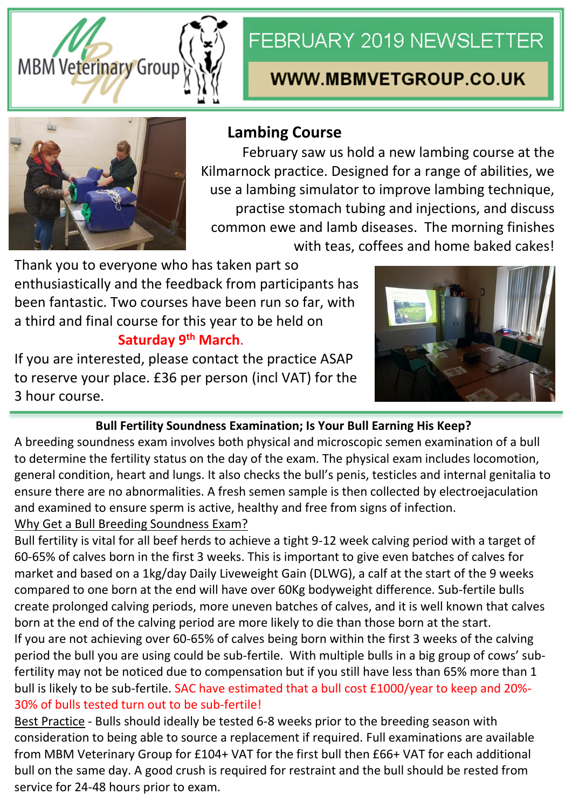

# FEBRUARY 2019 NEWSLETTER

## **WWW.MBMVETGROUP.CO.UK**



## **Lambing Course**

February saw us hold a new lambing course at the Kilmarnock practice. Designed for a range of abilities, we use a lambing simulator to improve lambing technique, practise stomach tubing and injections, and discuss common ewe and lamb diseases. The morning finishes with teas, coffees and home baked cakes!

Thank you to everyone who has taken part so enthusiastically and the feedback from participants has been fantastic. Two courses have been run so far, with a third and final course for this year to be held on

### **Saturday 9th March**.

If you are interested, please contact the practice ASAP to reserve your place. £36 per person (incl VAT) for the 3 hour course.



#### **Bull Fertility Soundness Examination; Is Your Bull Earning His Keep?**

A breeding soundness exam involves both physical and microscopic semen examination of a bull to determine the fertility status on the day of the exam. The physical exam includes locomotion, general condition, heart and lungs. It also checks the bull's penis, testicles and internal genitalia to ensure there are no abnormalities. A fresh semen sample is then collected by electroejaculation and examined to ensure sperm is active, healthy and free from signs of infection.

#### Why Get a Bull Breeding Soundness Exam?

Bull fertility is vital for all beef herds to achieve a tight 9-12 week calving period with a target of 60-65% of calves born in the first 3 weeks. This is important to give even batches of calves for market and based on a 1kg/day Daily Liveweight Gain (DLWG), a calf at the start of the 9 weeks compared to one born at the end will have over 60Kg bodyweight difference. Sub-fertile bulls create prolonged calving periods, more uneven batches of calves, and it is well known that calves born at the end of the calving period are more likely to die than those born at the start. If you are not achieving over 60-65% of calves being born within the first 3 weeks of the calving period the bull you are using could be sub-fertile. With multiple bulls in a big group of cows' subfertility may not be noticed due to compensation but if you still have less than 65% more than 1 bull is likely to be sub-fertile. SAC have estimated that a bull cost £1000/year to keep and 20%- 30% of bulls tested turn out to be sub-fertile!

Best Practice - Bulls should ideally be tested 6-8 weeks prior to the breeding season with consideration to being able to source a replacement if required. Full examinations are available from MBM Veterinary Group for £104+ VAT for the first bull then £66+ VAT for each additional bull on the same day. A good crush is required for restraint and the bull should be rested from service for 24-48 hours prior to exam.